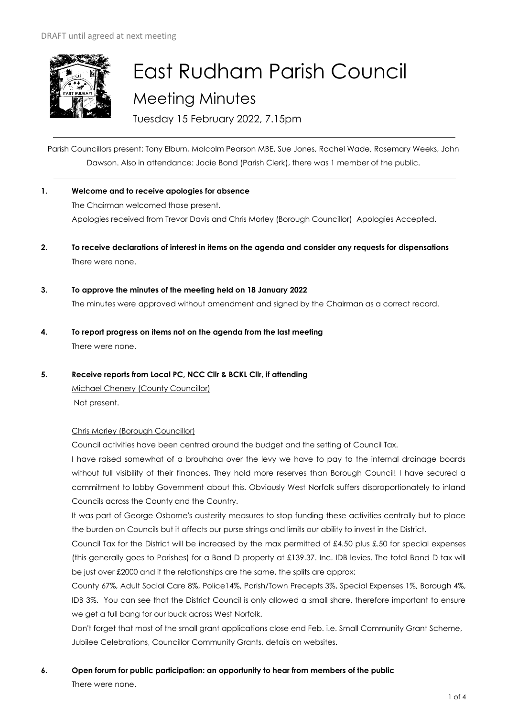

# East Rudham Parish Council Meeting Minutes

Tuesday 15 February 2022, 7.15pm

Parish Councillors present: Tony Elburn, Malcolm Pearson MBE, Sue Jones, Rachel Wade, Rosemary Weeks, John Dawson. Also in attendance: Jodie Bond (Parish Clerk), there was 1 member of the public.

- **1. Welcome and to receive apologies for absence** The Chairman welcomed those present. Apologies received from Trevor Davis and Chris Morley (Borough Councillor) Apologies Accepted.
- **2. To receive declarations of interest in items on the agenda and consider any requests for dispensations**  There were none.
- **3. To approve the minutes of the meeting held on 18 January 2022** The minutes were approved without amendment and signed by the Chairman as a correct record.
- **4. To report progress on items not on the agenda from the last meeting**  There were none.
- **5. Receive reports from Local PC, NCC Cllr & BCKL Cllr, if attending**

Michael Chenery (County Councillor) Not present.

# Chris Morley (Borough Councillor)

Council activities have been centred around the budget and the setting of Council Tax.

I have raised somewhat of a brouhaha over the levy we have to pay to the internal drainage boards without full visibility of their finances. They hold more reserves than Borough Council! I have secured a commitment to lobby Government about this. Obviously West Norfolk suffers disproportionately to inland Councils across the County and the Country.

It was part of George Osborne's austerity measures to stop funding these activities centrally but to place the burden on Councils but it affects our purse strings and limits our ability to invest in the District.

Council Tax for the District will be increased by the max permitted of £4.50 plus £.50 for special expenses (this generally goes to Parishes) for a Band D property at £139.37. Inc. IDB levies. The total Band D tax will be just over £2000 and if the relationships are the same, the splits are approx:

County 67%, Adult Social Care 8%, Police14%, Parish/Town Precepts 3%, Special Expenses 1%, Borough 4%, IDB 3%. You can see that the District Council is only allowed a small share, therefore important to ensure we get a full bang for our buck across West Norfolk.

Don't forget that most of the small grant applications close end Feb. i.e. Small Community Grant Scheme, Jubilee Celebrations, Councillor Community Grants, details on websites.

# **6. Open forum for public participation: an opportunity to hear from members of the public** There were none.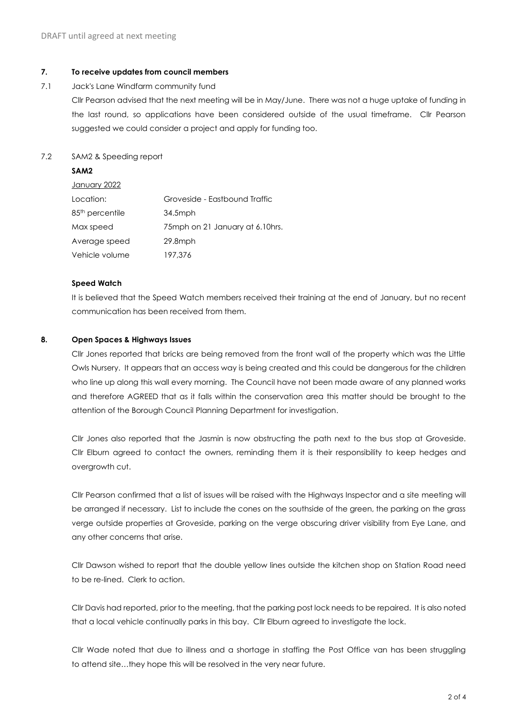#### **7. To receive updates from council members**

7.1 Jack's Lane Windfarm community fund

Cllr Pearson advised that the next meeting will be in May/June. There was not a huge uptake of funding in the last round, so applications have been considered outside of the usual timeframe. Cllr Pearson suggested we could consider a project and apply for funding too.

# 7.2 SAM2 & Speeding report

# **SAM2**

| <u>January 2022</u>         |                                 |
|-----------------------------|---------------------------------|
| Location:                   | Groveside - Eastbound Traffic   |
| 85 <sup>th</sup> percentile | 34.5mph                         |
| Max speed                   | 75mph on 21 January at 6.10hrs. |
| Average speed               | $29.8$ mph                      |
| Vehicle volume              | 197,376                         |

#### **Speed Watch**

It is believed that the Speed Watch members received their training at the end of January, but no recent communication has been received from them.

# **8. Open Spaces & Highways Issues**

Cllr Jones reported that bricks are being removed from the front wall of the property which was the Little Owls Nursery. It appears that an access way is being created and this could be dangerous for the children who line up along this wall every morning. The Council have not been made aware of any planned works and therefore AGREED that as it falls within the conservation area this matter should be brought to the attention of the Borough Council Planning Department for investigation.

Cllr Jones also reported that the Jasmin is now obstructing the path next to the bus stop at Groveside. Cllr Elburn agreed to contact the owners, reminding them it is their responsibility to keep hedges and overgrowth cut.

Cllr Pearson confirmed that a list of issues will be raised with the Highways Inspector and a site meeting will be arranged if necessary. List to include the cones on the southside of the green, the parking on the grass verge outside properties at Groveside, parking on the verge obscuring driver visibility from Eye Lane, and any other concerns that arise.

Cllr Dawson wished to report that the double yellow lines outside the kitchen shop on Station Road need to be re-lined. Clerk to action.

Cllr Davis had reported, prior to the meeting, that the parking post lock needs to be repaired. It is also noted that a local vehicle continually parks in this bay. Cllr Elburn agreed to investigate the lock.

Cllr Wade noted that due to illness and a shortage in staffing the Post Office van has been struggling to attend site…they hope this will be resolved in the very near future.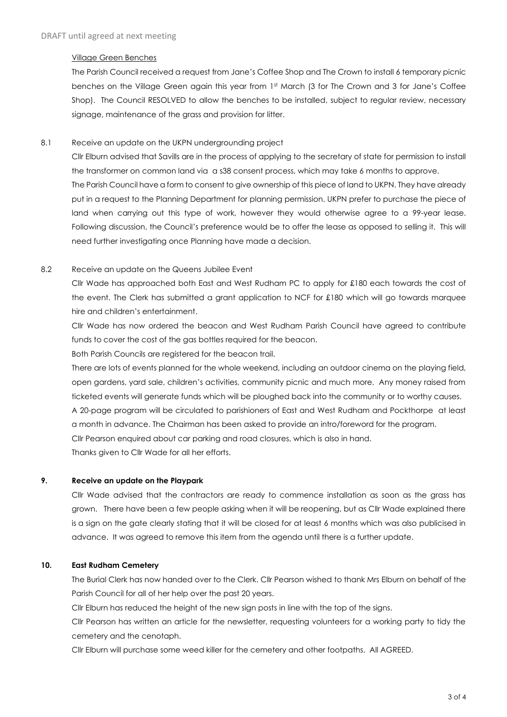#### Village Green Benches

The Parish Council received a request from Jane's Coffee Shop and The Crown to install 6 temporary picnic benches on the Village Green again this year from 1st March (3 for The Crown and 3 for Jane's Coffee Shop). The Council RESOLVED to allow the benches to be installed, subject to regular review, necessary signage, maintenance of the grass and provision for litter.

#### 8.1 Receive an update on the UKPN undergrounding project

Cllr Elburn advised that Savills are in the process of applying to the secretary of state for permission to install the transformer on common land via a s38 consent process, which may take 6 months to approve. The Parish Council have a form to consent to give ownership of this piece of land to UKPN. They have already put in a request to the Planning Department for planning permission. UKPN prefer to purchase the piece of land when carrying out this type of work, however they would otherwise agree to a 99-year lease. Following discussion, the Council's preference would be to offer the lease as opposed to selling it. This will need further investigating once Planning have made a decision.

#### 8.2 Receive an update on the Queens Jubilee Event

Cllr Wade has approached both East and West Rudham PC to apply for £180 each towards the cost of the event. The Clerk has submitted a grant application to NCF for £180 which will go towards marquee hire and children's entertainment.

Cllr Wade has now ordered the beacon and West Rudham Parish Council have agreed to contribute funds to cover the cost of the gas bottles required for the beacon.

Both Parish Councils are registered for the beacon trail.

There are lots of events planned for the whole weekend, including an outdoor cinema on the playing field, open gardens, yard sale, children's activities, community picnic and much more. Any money raised from ticketed events will generate funds which will be ploughed back into the community or to worthy causes.

A 20-page program will be circulated to parishioners of East and West Rudham and Pockthorpe at least a month in advance. The Chairman has been asked to provide an intro/foreword for the program.

Cllr Pearson enquired about car parking and road closures, which is also in hand.

Thanks given to Cllr Wade for all her efforts.

# **9. Receive an update on the Playpark**

Cllr Wade advised that the contractors are ready to commence installation as soon as the grass has grown. There have been a few people asking when it will be reopening, but as Cllr Wade explained there is a sign on the gate clearly stating that it will be closed for at least 6 months which was also publicised in advance. It was agreed to remove this item from the agenda until there is a further update.

# **10. East Rudham Cemetery**

The Burial Clerk has now handed over to the Clerk. Cllr Pearson wished to thank Mrs Elburn on behalf of the Parish Council for all of her help over the past 20 years.

Cllr Elburn has reduced the height of the new sign posts in line with the top of the signs.

Cllr Pearson has written an article for the newsletter, requesting volunteers for a working party to tidy the cemetery and the cenotaph.

Cllr Elburn will purchase some weed killer for the cemetery and other footpaths. All AGREED.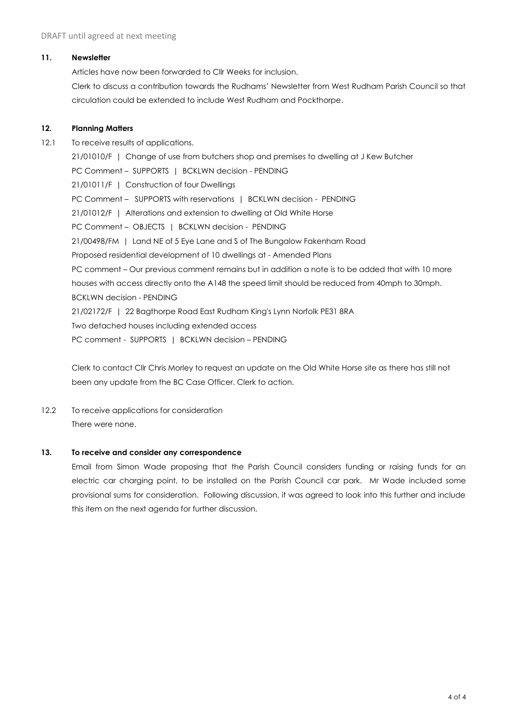#### **11. Newsletter**

Articles have now been forwarded to Cllr Weeks for inclusion. Clerk to discuss a contribution towards the Rudhams' Newsletter from West Rudham Parish Council so that circulation could be extended to include West Rudham and Pockthorpe.

#### **12. Planning Matters**

12.1 To receive results of applications. 21/01010/F | Change of use from butchers shop and premises to dwelling at J Kew Butcher PC Comment – SUPPORTS | BCKLWN decision - PENDING 21/01011/F | Construction of four Dwellings PC Comment - SUPPORTS with reservations | BCKLWN decision - PENDING 21/01012/F | Alterations and extension to dwelling at Old White Horse PC Comment – OBJECTS | BCKLWN decision - PENDING 21/00498/FM | Land NE of 5 Eye Lane and S of The Bungalow Fakenham Road Proposed residential development of 10 dwellings at - Amended Plans PC comment – Our previous comment remains but in addition a note is to be added that with 10 more houses with access directly onto the A148 the speed limit should be reduced from 40mph to 30mph. BCKLWN decision - PENDING 21/02172/F | 22 Bagthorpe Road East Rudham King's Lynn Norfolk PE31 8RA Two detached houses including extended access PC comment - SUPPORTS | BCKLWN decision – PENDING

Clerk to contact Cllr Chris Morley to request an update on the Old White Horse site as there has still not been any update from the BC Case Officer. Clerk to action.

12.2 To receive applications for consideration There were none.

#### **13. To receive and consider any correspondence**

Email from Simon Wade proposing that the Parish Council considers funding or raising funds for an electric car charging point, to be installed on the Parish Council car park. Mr Wade included some provisional sums for consideration. Following discussion, it was agreed to look into this further and include this item on the next agenda for further discussion.